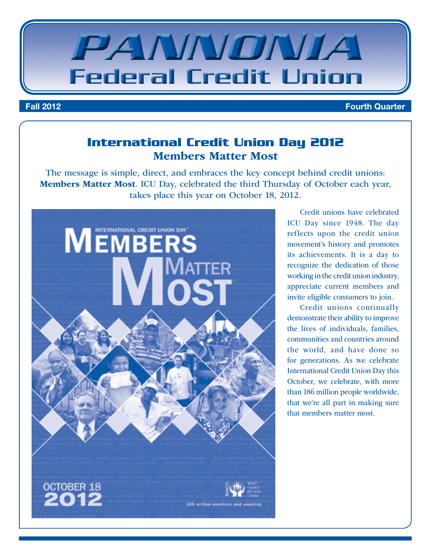

Fall 2012 Fourth Quarter

### **International Credit Union Day 2012**  Members Matter Most

The message is simple, direct, and embraces the key concept behind credit unions: Members Matter Most. ICU Day, celebrated the third Thursday of October each year, takes place this year on October 18, 2012.



Credit unions have celebrated ICU Day since 1948. The day reflects upon the credit union movement's history and promotes its achievements. It is a day to recognize the dedication of those working in the credit union industry, appreciate current members and invite eligible consumers to join.

Credit unions continually demonstrate their ability to improve the lives of individuals, families, communities and countries around the world, and have done so for generations. As we celebrate International Credit Union Day this October, we celebrate, with more than 186 million people worldwide, that we're all part in making sure that members matter most.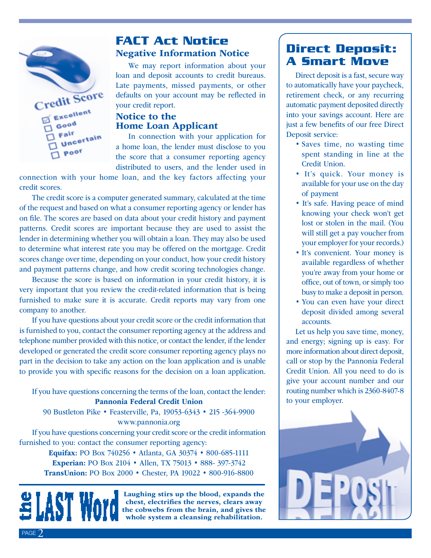

Credit Score Excellent Good Fair Fair<br>Uncertain Poor

### **FACT Act Notice**  Negative Information Notice

We may report information about your loan and deposit accounts to credit bureaus. Late payments, missed payments, or other defaults on your account may be reflected in your credit report.

### Notice to the Home Loan Applicant

In connection with your application for a home loan, the lender must disclose to you the score that a consumer reporting agency distributed to users, and the lender used in

connection with your home loan, and the key factors affecting your credit scores.

The credit score is a computer generated summary, calculated at the time of the request and based on what a consumer reporting agency or lender has on file. The scores are based on data about your credit history and payment patterns. Credit scores are important because they are used to assist the lender in determining whether you will obtain a loan. They may also be used to determine what interest rate you may be offered on the mortgage. Credit scores change over time, depending on your conduct, how your credit history and payment patterns change, and how credit scoring technologies change.

Because the score is based on information in your credit history, it is very important that you review the credit-related information that is being furnished to make sure it is accurate. Credit reports may vary from one company to another.

If you have questions about your credit score or the credit information that is furnished to you, contact the consumer reporting agency at the address and telephone number provided with this notice, or contact the lender, if the lender developed or generated the credit score consumer reporting agency plays no part in the decision to take any action on the loan application and is unable to provide you with specific reasons for the decision on a loan application.

If you have questions concerning the terms of the loan, contact the lender: Pannonia Federal Credit Union

90 Bustleton Pike • Feasterville, Pa, 19053-6343 • 215 -364-9900 www.pannonia.org

If you have questions concerning your credit score or the credit information furnished to you: contact the consumer reporting agency:

Equifax: PO Box 740256 • Atlanta, GA 30374 • 800-685-1111 Experian: PO Box 2104 • Allen, TX 75013 • 888- 397-3742 TransUnion: PO Box 2000 • Chester, PA 19022 • 800-916-8800



Laughing stirs up the blood, expands the chest, electrifies the nerves, clears away the cobwebs from the brain, and gives the whole system a cleansing rehabilitation.

# **Direct Deposit: A Smart Move**

Direct deposit is a fast, secure way to automatically have your paycheck, retirement check, or any recurring automatic payment deposited directly into your savings account. Here are just a few benefits of our free Direct Deposit service:

- • Saves time, no wasting time spent standing in line at the Credit Union.
- It's quick. Your money is available for your use on the day of payment
- It's safe. Having peace of mind knowing your check won't get lost or stolen in the mail. (You will still get a pay voucher from your employer for your records.)
- It's convenient. Your money is available regardless of whether you're away from your home or office, out of town, or simply too busy to make a deposit in person.
- • You can even have your direct deposit divided among several accounts.

Let us help you save time, money, and energy; signing up is easy. For more information about direct deposit, call or stop by the Pannonia Federal Credit Union. All you need to do is give your account number and our routing number which is 2360-8407-8 to your employer.



PAGE  $2$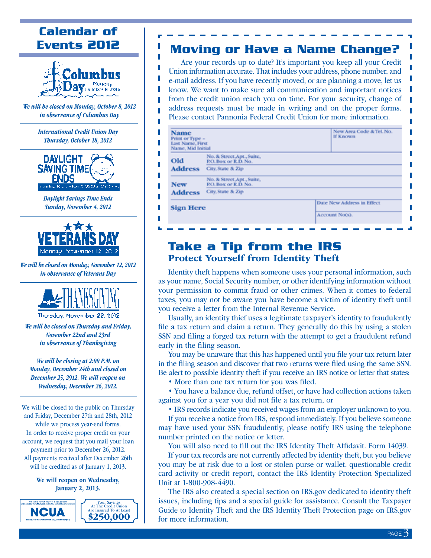## **Calendar of Events 2012**



I

I Ī Ī

*We will be closed on Monday, October 8, 2012 in observance of Columbus Day*

> *International Credit Union Day Thursday, October 18, 2012*



*Daylight Savings Time Ends Sunday, November 4, 2012*



*We will be closed on Monday, November 12, 2012 in observance of Veterans Day*



Thursday, November 22, 2012

*We will be closed on Thursday and Friday, November 22nd and 23rd in observance of Thanksgiving*

*We will be closing at 2:00 P.M. on Monday, December 24th and closed on December 25, 2912. We will reopen on Wednesday, December 26, 2012.* 

We will be closed to the public on Thursday and Friday, December 27th and 28th, 2012 while we process year-end forms. In order to receive proper credit on your account, we request that you mail your loan payment prior to December 26, 2012. All payments received after December 26th will be credited as of January 1, 2013.

> We will reopen on Wednesday, January 2, 2013.



# **Moving or Have a Name Change?**

Are your records up to date? It's important you keep all your Credit Union information accurate. That includes your address, phone number, and e-mail address. If you have recently moved, or are planning a move, let us know. We want to make sure all communication and important notices from the credit union reach you on time. For your security, change of address requests must be made in writing and on the proper forms. Please contact Pannonia Federal Credit Union for more information.

| <b>Name</b><br>Print or Type -<br>Last Name, First<br>Name, Mid Initial |                                                    | New Area Code & Tel. No.<br>If Known |
|-------------------------------------------------------------------------|----------------------------------------------------|--------------------------------------|
| Old                                                                     | No. & Street, Apt., Suite,<br>P.O. Box or R.D. No. |                                      |
| <b>Address</b>                                                          | City, State & Zip                                  |                                      |
| <b>New</b><br><b>Address</b>                                            | No. & Street.Apt., Suite,<br>P.O. Box or R.D. No.  |                                      |
|                                                                         | City, State & Zip                                  |                                      |
| <b>Sign Here</b>                                                        |                                                    | Date New Address in Effect           |
|                                                                         |                                                    | Account No(s).                       |

### **Take a Tip from the IRS** Protect Yourself from Identity Theft

Identity theft happens when someone uses your personal information, such as your name, Social Security number, or other identifying information without your permission to commit fraud or other crimes. When it comes to federal taxes, you may not be aware you have become a victim of identity theft until you receive a letter from the Internal Revenue Service.

Usually, an identity thief uses a legitimate taxpayer's identity to fraudulently file a tax return and claim a return. They generally do this by using a stolen SSN and filing a forged tax return with the attempt to get a fraudulent refund early in the filing season.

You may be unaware that this has happened until you file your tax return later in the filing season and discover that two returns were filed using the same SSN. Be alert to possible identity theft if you receive an IRS notice or letter that states:

• More than one tax return for you was filed.

• You have a balance due, refund offset, or have had collection actions taken against you for a year you did not file a tax return, or

• IRS records indicate you received wages from an employer unknown to you.

If you receive a notice from IRS, respond immediately. If you believe someone may have used your SSN fraudulently, please notify IRS using the telephone number printed on the notice or letter.

You will also need to fill out the IRS Identity Theft Affidavit. Form 14039.

If your tax records are not currently affected by identity theft, but you believe you may be at risk due to a lost or stolen purse or wallet, questionable credit card activity or credit report, contact the IRS Identity Protection Specialized Unit at 1-800-908-4490.

The IRS also created a special section on IRS.gov dedicated to identity theft issues, including tips and a special guide for assistance. Consult the Taxpayer Guide to Identity Theft and the IRS Identity Theft Protection page on IRS.gov for more information.